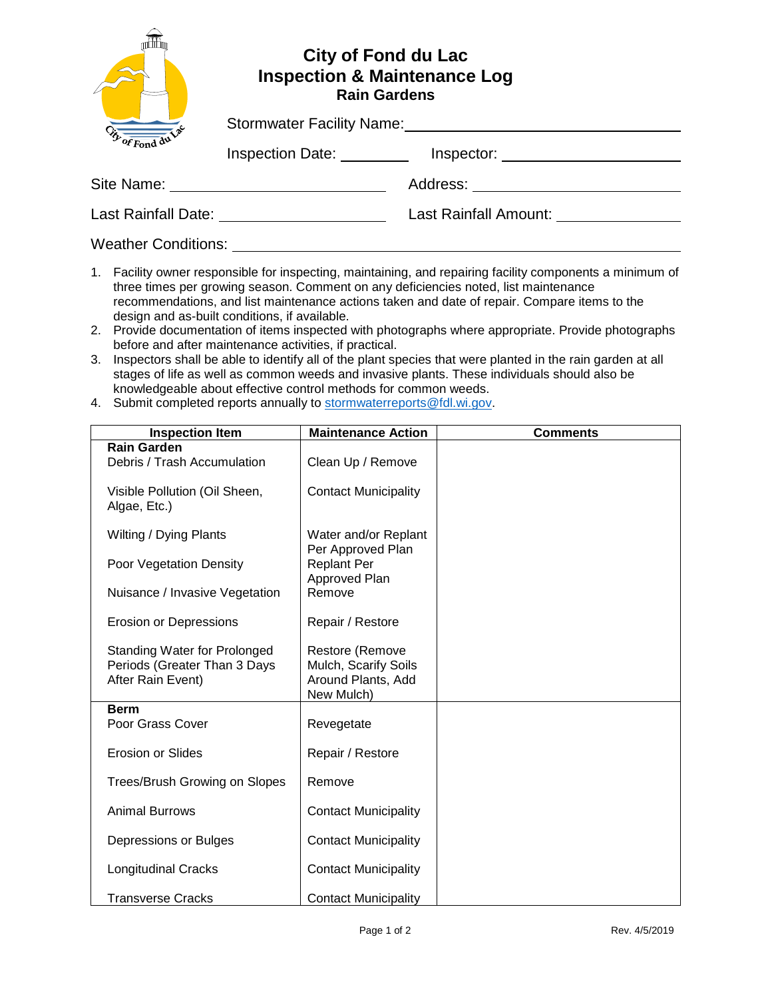| $\overline{\mathscr{F}_{\text{off}}^{\text{max}}}$ | <b>City of Fond du Lac</b><br><b>Inspection &amp; Maintenance Log</b><br><b>Rain Gardens</b><br>Stormwater Facility Name: Stormwater Facility Name: |                       |
|----------------------------------------------------|-----------------------------------------------------------------------------------------------------------------------------------------------------|-----------------------|
|                                                    |                                                                                                                                                     |                       |
|                                                    | Inspection Date:                                                                                                                                    | Inspector:            |
| Site Name:                                         | the contract of the contract of the contract of the contract of                                                                                     | Address:              |
| Last Rainfall Date: National Assembly Property     |                                                                                                                                                     | Last Rainfall Amount: |
| <b>Weather Conditions:</b>                         |                                                                                                                                                     |                       |

- 1. Facility owner responsible for inspecting, maintaining, and repairing facility components a minimum of three times per growing season. Comment on any deficiencies noted, list maintenance recommendations, and list maintenance actions taken and date of repair. Compare items to the design and as-built conditions, if available.
- 2. Provide documentation of items inspected with photographs where appropriate. Provide photographs before and after maintenance activities, if practical.
- 3. Inspectors shall be able to identify all of the plant species that were planted in the rain garden at all stages of life as well as common weeds and invasive plants. These individuals should also be knowledgeable about effective control methods for common weeds.
- 4. Submit completed reports annually to [stormwaterreports@fdl.wi.gov.](mailto:stormwaterreports@fdl.wi.gov)

| <b>Inspection Item</b>                                                                   | <b>Maintenance Action</b>                                                   | <b>Comments</b> |
|------------------------------------------------------------------------------------------|-----------------------------------------------------------------------------|-----------------|
| <b>Rain Garden</b><br>Debris / Trash Accumulation                                        | Clean Up / Remove                                                           |                 |
| Visible Pollution (Oil Sheen,<br>Algae, Etc.)                                            | <b>Contact Municipality</b>                                                 |                 |
| Wilting / Dying Plants                                                                   | Water and/or Replant<br>Per Approved Plan                                   |                 |
| Poor Vegetation Density                                                                  | <b>Replant Per</b><br>Approved Plan                                         |                 |
| Nuisance / Invasive Vegetation                                                           | Remove                                                                      |                 |
| <b>Erosion or Depressions</b>                                                            | Repair / Restore                                                            |                 |
| <b>Standing Water for Prolonged</b><br>Periods (Greater Than 3 Days<br>After Rain Event) | Restore (Remove<br>Mulch, Scarify Soils<br>Around Plants, Add<br>New Mulch) |                 |
| <b>Berm</b><br>Poor Grass Cover                                                          | Revegetate                                                                  |                 |
| <b>Erosion or Slides</b>                                                                 | Repair / Restore                                                            |                 |
| Trees/Brush Growing on Slopes                                                            | Remove                                                                      |                 |
| <b>Animal Burrows</b>                                                                    | <b>Contact Municipality</b>                                                 |                 |
| Depressions or Bulges                                                                    | <b>Contact Municipality</b>                                                 |                 |
| <b>Longitudinal Cracks</b>                                                               | <b>Contact Municipality</b>                                                 |                 |
| <b>Transverse Cracks</b>                                                                 | <b>Contact Municipality</b>                                                 |                 |